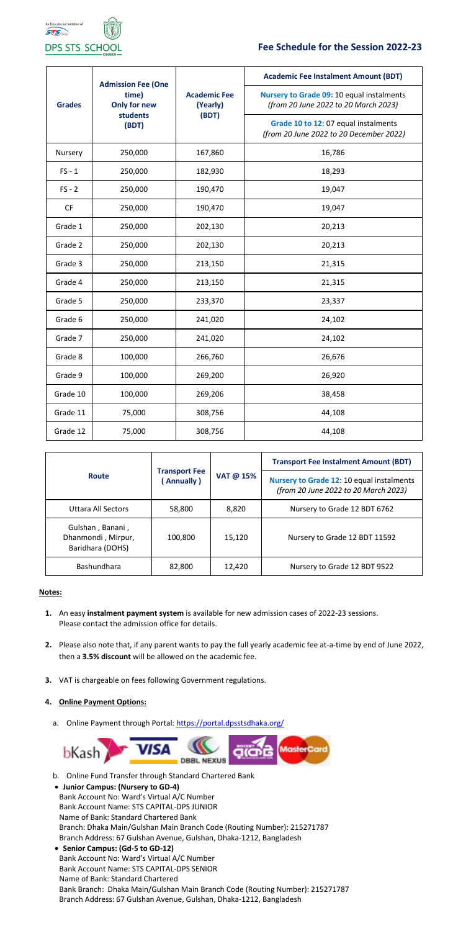

# **Fee Schedule for the Session 2022-23**

| <b>Grades</b> | <b>Admission Fee (One</b><br>time)<br><b>Only for new</b><br>students<br>(BDT) | <b>Academic Fee</b><br>(Yearly)<br>(BDT) | <b>Academic Fee Instalment Amount (BDT)</b>                                       |
|---------------|--------------------------------------------------------------------------------|------------------------------------------|-----------------------------------------------------------------------------------|
|               |                                                                                |                                          | Nursery to Grade 09: 10 equal instalments<br>(from 20 June 2022 to 20 March 2023) |
|               |                                                                                |                                          | Grade 10 to 12: 07 equal instalments<br>(from 20 June 2022 to 20 December 2022)   |
| Nursery       | 250,000                                                                        | 167,860                                  | 16,786                                                                            |
| $FS - 1$      | 250,000                                                                        | 182,930                                  | 18,293                                                                            |
| $FS - 2$      | 250,000                                                                        | 190,470                                  | 19,047                                                                            |
| <b>CF</b>     | 250,000                                                                        | 190,470                                  | 19,047                                                                            |
| Grade 1       | 250,000                                                                        | 202,130                                  | 20,213                                                                            |
| Grade 2       | 250,000                                                                        | 202,130                                  | 20,213                                                                            |
| Grade 3       | 250,000                                                                        | 213,150                                  | 21,315                                                                            |
| Grade 4       | 250,000                                                                        | 213,150                                  | 21,315                                                                            |
| Grade 5       | 250,000                                                                        | 233,370                                  | 23,337                                                                            |
| Grade 6       | 250,000                                                                        | 241,020                                  | 24,102                                                                            |
| Grade 7       | 250,000                                                                        | 241,020                                  | 24,102                                                                            |
| Grade 8       | 100,000                                                                        | 266,760                                  | 26,676                                                                            |
| Grade 9       | 100,000                                                                        | 269,200                                  | 26,920                                                                            |
| Grade 10      | 100,000                                                                        | 269,206                                  | 38,458                                                                            |
| Grade 11      | 75,000                                                                         | 308,756                                  | 44,108                                                                            |
| Grade 12      | 75,000                                                                         | 308,756                                  | 44,108                                                                            |

|                                                            | <b>Transport Fee</b><br>(Annually) | VAT @ 15% | <b>Transport Fee Instalment Amount (BDT)</b>                                      |
|------------------------------------------------------------|------------------------------------|-----------|-----------------------------------------------------------------------------------|
| <b>Route</b>                                               |                                    |           | Nursery to Grade 12: 10 equal instalments<br>(from 20 June 2022 to 20 March 2023) |
| Uttara All Sectors                                         | 58,800                             | 8,820     | Nursery to Grade 12 BDT 6762                                                      |
| Gulshan, Banani,<br>Dhanmondi, Mirpur,<br>Baridhara (DOHS) | 100,800                            | 15,120    | Nursery to Grade 12 BDT 11592                                                     |
| <b>Bashundhara</b>                                         | 82,800                             | 12,420    | Nursery to Grade 12 BDT 9522                                                      |

#### **Notes:**

- **1.** An easy **instalment payment system** is available for new admission cases of 2022-23 sessions. Please contact the admission office for details.
- **2.** Please also note that, if any parent wants to pay the full yearly academic fee at-a-time by end of June 2022, then a **3.5% discount** will be allowed on the academic fee.
- **3.** VAT is chargeable on fees following Government regulations.

### **4. Online Payment Options:**

a. Online Payment through Portal: https://portal.dpsstsdhaka.org/



- b. Online Fund Transfer through Standard Chartered Bank
- **Junior Campus: (Nursery to GD-4)**

Bank Account No: Ward's Virtual A/C Number Bank Account Name: STS CAPITAL-DPS JUNIOR Name of Bank: Standard Chartered Bank Branch: Dhaka Main/Gulshan Main Branch Code (Routing Number): 215271787 Branch Address: 67 Gulshan Avenue, Gulshan, Dhaka-1212, Bangladesh

• **Senior Campus: (Gd-5 to GD-12)**

Bank Account No: Ward's Virtual A/C Number

Bank Account Name: STS CAPITAL-DPS SENIOR

Name of Bank: Standard Chartered

Bank Branch: Dhaka Main/Gulshan Main Branch Code (Routing Number): 215271787 Branch Address: 67 Gulshan Avenue, Gulshan, Dhaka-1212, Bangladesh